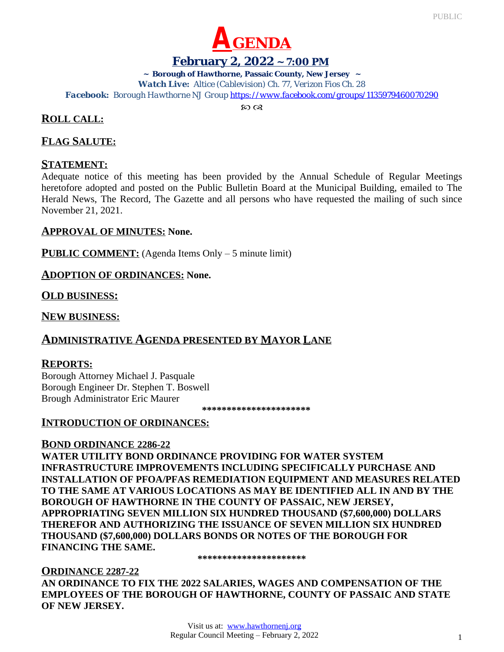



## **February 2, 2022 ~ 7:00 PM**

**~ Borough of Hawthorne, Passaic County, New Jersey ~**

*Watch Live: Altice (Cablevision) Ch. 77, Verizon Fios Ch. 28*

*Facebook: Borough Hawthorne NJ Group <https://www.facebook.com/groups/1135979460070290>*

 $\infty$   $\infty$ 

## **ROLL CALL:**

## **FLAG SALUTE:**

## **STATEMENT:**

Adequate notice of this meeting has been provided by the Annual Schedule of Regular Meetings heretofore adopted and posted on the Public Bulletin Board at the Municipal Building, emailed to The Herald News, The Record, The Gazette and all persons who have requested the mailing of such since November 21, 2021.

### **APPROVAL OF MINUTES: None.**

**PUBLIC COMMENT:** (Agenda Items Only – 5 minute limit)

### **ADOPTION OF ORDINANCES: None.**

**OLD BUSINESS:**

**NEW BUSINESS:**

# **ADMINISTRATIVE AGENDA PRESENTED BY MAYOR LANE**

## **REPORTS:**

Borough Attorney Michael J. Pasquale Borough Engineer Dr. Stephen T. Boswell Brough Administrator Eric Maurer

 **\*\*\*\*\*\*\*\*\*\*\*\*\*\*\*\*\*\*\*\*\*\***

### **INTRODUCTION OF ORDINANCES:**

## **BOND ORDINANCE 2286-22**

**WATER UTILITY BOND ORDINANCE PROVIDING FOR WATER SYSTEM INFRASTRUCTURE IMPROVEMENTS INCLUDING SPECIFICALLY PURCHASE AND INSTALLATION OF PFOA/PFAS REMEDIATION EQUIPMENT AND MEASURES RELATED TO THE SAME AT VARIOUS LOCATIONS AS MAY BE IDENTIFIED ALL IN AND BY THE BOROUGH OF HAWTHORNE IN THE COUNTY OF PASSAIC, NEW JERSEY, APPROPRIATING SEVEN MILLION SIX HUNDRED THOUSAND (\$7,600,000) DOLLARS THEREFOR AND AUTHORIZING THE ISSUANCE OF SEVEN MILLION SIX HUNDRED THOUSAND (\$7,600,000) DOLLARS BONDS OR NOTES OF THE BOROUGH FOR FINANCING THE SAME.**

**\*\*\*\*\*\*\*\*\*\*\*\*\*\*\*\*\*\*\*\*\*\***

### **ORDINANCE 2287-22**

**AN ORDINANCE TO FIX THE 2022 SALARIES, WAGES AND COMPENSATION OF THE EMPLOYEES OF THE BOROUGH OF HAWTHORNE, COUNTY OF PASSAIC AND STATE OF NEW JERSEY.**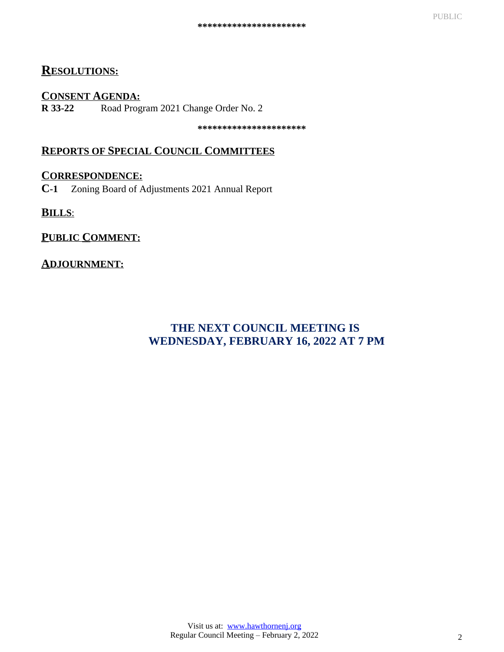# **RESOLUTIONS:**

### **CONSENT AGENDA:**

**R 33-22** Road Program 2021 Change Order No. 2

**\*\*\*\*\*\*\*\*\*\*\*\*\*\*\*\*\*\*\*\*\*\***

# **REPORTS OF SPECIAL COUNCIL COMMITTEES**

### **CORRESPONDENCE:**

**C-1** Zoning Board of Adjustments 2021 Annual Report

**BILLS**:

## **PUBLIC COMMENT:**

## **ADJOURNMENT:**

# **THE NEXT COUNCIL MEETING IS WEDNESDAY, FEBRUARY 16, 2022 AT 7 PM**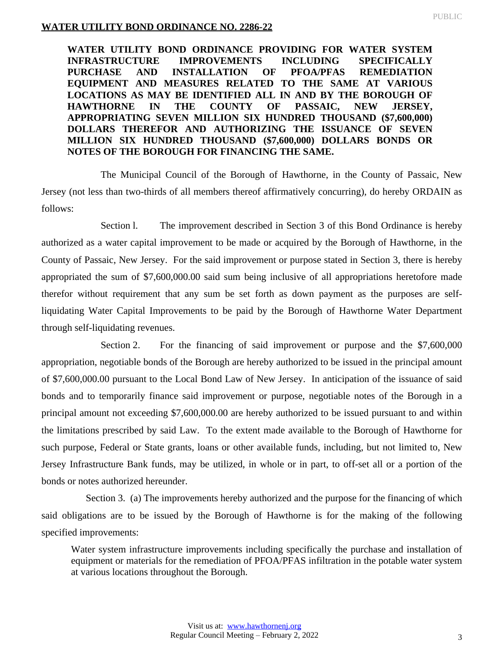### **WATER UTILITY BOND ORDINANCE NO. 2286-22**

**WATER UTILITY BOND ORDINANCE PROVIDING FOR WATER SYSTEM INFRASTRUCTURE IMPROVEMENTS INCLUDING SPECIFICALLY PURCHASE AND INSTALLATION OF PFOA/PFAS REMEDIATION EQUIPMENT AND MEASURES RELATED TO THE SAME AT VARIOUS LOCATIONS AS MAY BE IDENTIFIED ALL IN AND BY THE BOROUGH OF HAWTHORNE IN THE COUNTY OF PASSAIC, NEW JERSEY, APPROPRIATING SEVEN MILLION SIX HUNDRED THOUSAND (\$7,600,000) DOLLARS THEREFOR AND AUTHORIZING THE ISSUANCE OF SEVEN MILLION SIX HUNDRED THOUSAND (\$7,600,000) DOLLARS BONDS OR NOTES OF THE BOROUGH FOR FINANCING THE SAME.**

The Municipal Council of the Borough of Hawthorne, in the County of Passaic, New Jersey (not less than two-thirds of all members thereof affirmatively concurring), do hereby ORDAIN as follows:

Section l. The improvement described in Section 3 of this Bond Ordinance is hereby authorized as a water capital improvement to be made or acquired by the Borough of Hawthorne, in the County of Passaic, New Jersey. For the said improvement or purpose stated in Section 3, there is hereby appropriated the sum of \$7,600,000.00 said sum being inclusive of all appropriations heretofore made therefor without requirement that any sum be set forth as down payment as the purposes are selfliquidating Water Capital Improvements to be paid by the Borough of Hawthorne Water Department through self-liquidating revenues.

Section 2. For the financing of said improvement or purpose and the \$7,600,000 appropriation, negotiable bonds of the Borough are hereby authorized to be issued in the principal amount of \$7,600,000.00 pursuant to the Local Bond Law of New Jersey. In anticipation of the issuance of said bonds and to temporarily finance said improvement or purpose, negotiable notes of the Borough in a principal amount not exceeding \$7,600,000.00 are hereby authorized to be issued pursuant to and within the limitations prescribed by said Law. To the extent made available to the Borough of Hawthorne for such purpose, Federal or State grants, loans or other available funds, including, but not limited to, New Jersey Infrastructure Bank funds, may be utilized, in whole or in part, to off-set all or a portion of the bonds or notes authorized hereunder.

 Section 3. (a) The improvements hereby authorized and the purpose for the financing of which said obligations are to be issued by the Borough of Hawthorne is for the making of the following specified improvements:

Water system infrastructure improvements including specifically the purchase and installation of equipment or materials for the remediation of PFOA/PFAS infiltration in the potable water system at various locations throughout the Borough.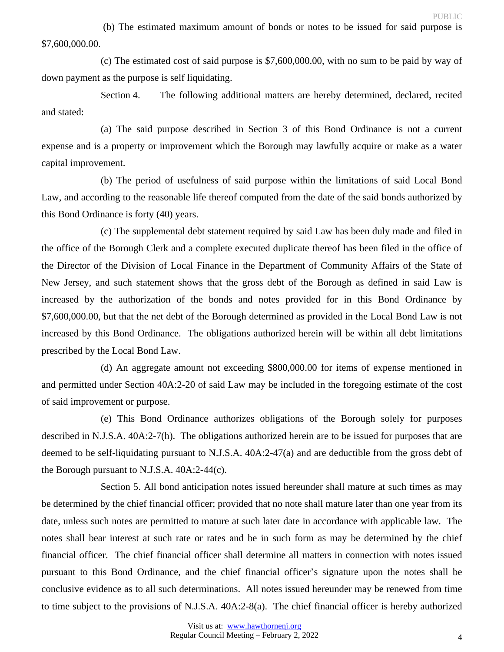(b) The estimated maximum amount of bonds or notes to be issued for said purpose is \$7,600,000.00.

(c) The estimated cost of said purpose is \$7,600,000.00, with no sum to be paid by way of down payment as the purpose is self liquidating.

Section 4. The following additional matters are hereby determined, declared, recited and stated:

(a) The said purpose described in Section 3 of this Bond Ordinance is not a current expense and is a property or improvement which the Borough may lawfully acquire or make as a water capital improvement.

(b) The period of usefulness of said purpose within the limitations of said Local Bond Law, and according to the reasonable life thereof computed from the date of the said bonds authorized by this Bond Ordinance is forty (40) years.

(c) The supplemental debt statement required by said Law has been duly made and filed in the office of the Borough Clerk and a complete executed duplicate thereof has been filed in the office of the Director of the Division of Local Finance in the Department of Community Affairs of the State of New Jersey, and such statement shows that the gross debt of the Borough as defined in said Law is increased by the authorization of the bonds and notes provided for in this Bond Ordinance by \$7,600,000.00, but that the net debt of the Borough determined as provided in the Local Bond Law is not increased by this Bond Ordinance. The obligations authorized herein will be within all debt limitations prescribed by the Local Bond Law.

(d) An aggregate amount not exceeding \$800,000.00 for items of expense mentioned in and permitted under Section 40A:2-20 of said Law may be included in the foregoing estimate of the cost of said improvement or purpose.

(e) This Bond Ordinance authorizes obligations of the Borough solely for purposes described in N.J.S.A. 40A:2-7(h). The obligations authorized herein are to be issued for purposes that are deemed to be self-liquidating pursuant to N.J.S.A. 40A:2-47(a) and are deductible from the gross debt of the Borough pursuant to N.J.S.A. 40A:2-44(c).

Section 5. All bond anticipation notes issued hereunder shall mature at such times as may be determined by the chief financial officer; provided that no note shall mature later than one year from its date, unless such notes are permitted to mature at such later date in accordance with applicable law. The notes shall bear interest at such rate or rates and be in such form as may be determined by the chief financial officer. The chief financial officer shall determine all matters in connection with notes issued pursuant to this Bond Ordinance, and the chief financial officer's signature upon the notes shall be conclusive evidence as to all such determinations. All notes issued hereunder may be renewed from time to time subject to the provisions of N.J.S.A. 40A:2-8(a). The chief financial officer is hereby authorized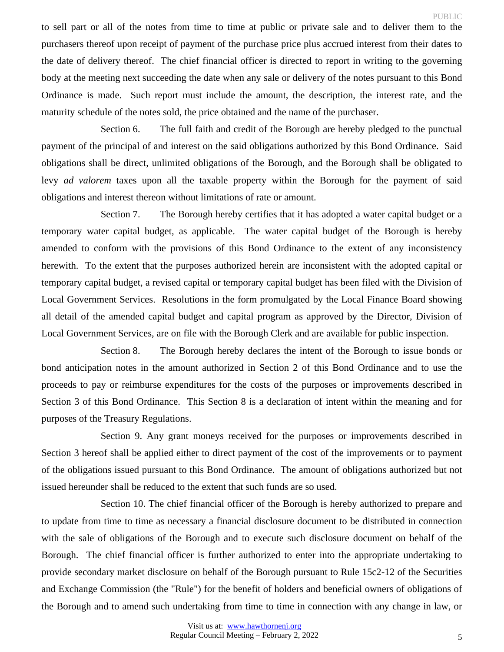to sell part or all of the notes from time to time at public or private sale and to deliver them to the purchasers thereof upon receipt of payment of the purchase price plus accrued interest from their dates to the date of delivery thereof. The chief financial officer is directed to report in writing to the governing body at the meeting next succeeding the date when any sale or delivery of the notes pursuant to this Bond Ordinance is made. Such report must include the amount, the description, the interest rate, and the maturity schedule of the notes sold, the price obtained and the name of the purchaser.

Section 6. The full faith and credit of the Borough are hereby pledged to the punctual payment of the principal of and interest on the said obligations authorized by this Bond Ordinance. Said obligations shall be direct, unlimited obligations of the Borough, and the Borough shall be obligated to levy *ad valorem* taxes upon all the taxable property within the Borough for the payment of said obligations and interest thereon without limitations of rate or amount.

Section 7. The Borough hereby certifies that it has adopted a water capital budget or a temporary water capital budget, as applicable. The water capital budget of the Borough is hereby amended to conform with the provisions of this Bond Ordinance to the extent of any inconsistency herewith. To the extent that the purposes authorized herein are inconsistent with the adopted capital or temporary capital budget, a revised capital or temporary capital budget has been filed with the Division of Local Government Services. Resolutions in the form promulgated by the Local Finance Board showing all detail of the amended capital budget and capital program as approved by the Director, Division of Local Government Services, are on file with the Borough Clerk and are available for public inspection.

Section 8. The Borough hereby declares the intent of the Borough to issue bonds or bond anticipation notes in the amount authorized in Section 2 of this Bond Ordinance and to use the proceeds to pay or reimburse expenditures for the costs of the purposes or improvements described in Section 3 of this Bond Ordinance. This Section 8 is a declaration of intent within the meaning and for purposes of the Treasury Regulations.

Section 9. Any grant moneys received for the purposes or improvements described in Section 3 hereof shall be applied either to direct payment of the cost of the improvements or to payment of the obligations issued pursuant to this Bond Ordinance. The amount of obligations authorized but not issued hereunder shall be reduced to the extent that such funds are so used.

Section 10. The chief financial officer of the Borough is hereby authorized to prepare and to update from time to time as necessary a financial disclosure document to be distributed in connection with the sale of obligations of the Borough and to execute such disclosure document on behalf of the Borough. The chief financial officer is further authorized to enter into the appropriate undertaking to provide secondary market disclosure on behalf of the Borough pursuant to Rule 15c2-12 of the Securities and Exchange Commission (the "Rule") for the benefit of holders and beneficial owners of obligations of the Borough and to amend such undertaking from time to time in connection with any change in law, or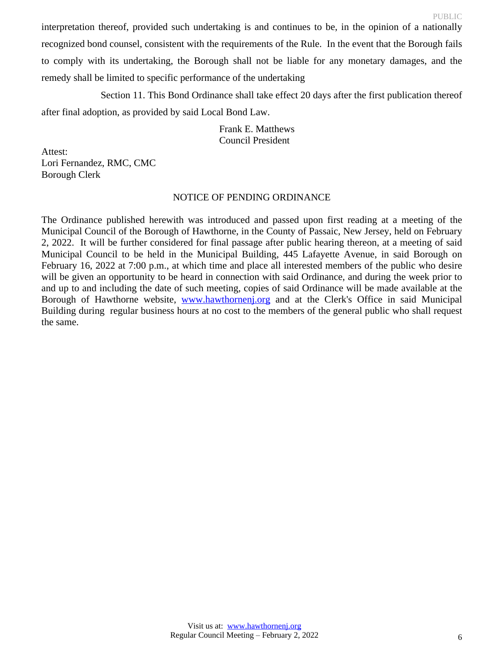interpretation thereof, provided such undertaking is and continues to be, in the opinion of a nationally recognized bond counsel, consistent with the requirements of the Rule. In the event that the Borough fails to comply with its undertaking, the Borough shall not be liable for any monetary damages, and the remedy shall be limited to specific performance of the undertaking

Section 11. This Bond Ordinance shall take effect 20 days after the first publication thereof after final adoption, as provided by said Local Bond Law.

> Frank E. Matthews Council President

Attest: Lori Fernandez, RMC, CMC Borough Clerk

### NOTICE OF PENDING ORDINANCE

The Ordinance published herewith was introduced and passed upon first reading at a meeting of the Municipal Council of the Borough of Hawthorne, in the County of Passaic, New Jersey, held on February 2, 2022. It will be further considered for final passage after public hearing thereon, at a meeting of said Municipal Council to be held in the Municipal Building, 445 Lafayette Avenue, in said Borough on February 16, 2022 at 7:00 p.m., at which time and place all interested members of the public who desire will be given an opportunity to be heard in connection with said Ordinance, and during the week prior to and up to and including the date of such meeting, copies of said Ordinance will be made available at the Borough of Hawthorne website, www.hawthorneni.org and at the Clerk's Office in said Municipal Building during regular business hours at no cost to the members of the general public who shall request the same.